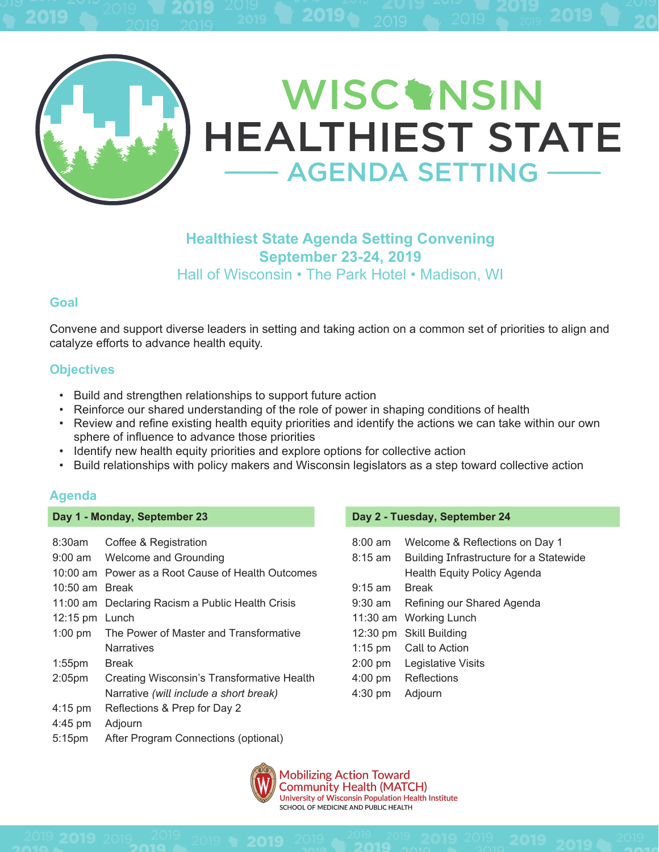

# **Healthiest State Agenda Setting Convening September 23-24, 2019**  Hall of Wisconsin • The Park Hotel • Madison, WI

### **Goal**

Convene and support diverse leaders in setting and taking action on a common set of priorities to align and catalyze efforts to advance health equity.

### **Objectives**

- Build and strengthen relationships to support future action
- Reinforce our shared understanding of the role of power in shaping conditions of health
- Review and refine existing health equity priorities and identify the actions we can take within our own sphere of influence to advance those priorities
- Identify new health equity priorities and explore options for collective action
- Build relationships with policy makers and Wisconsin legislators as a step toward collective action

### **Agenda**

#### **Day 1 - Monday, September 23**

| $8:30$ am          | Coffee & Registration                             |
|--------------------|---------------------------------------------------|
| 9:00 am            | Welcome and Grounding                             |
|                    | 10:00 am Power as a Root Cause of Health Outcomes |
| 10:50 am Break     |                                                   |
|                    | 11:00 am Declaring Racism a Public Health Crisis  |
| $12:15 \text{ pm}$ | Lunch                                             |
| $1:00 \text{ pm}$  | The Power of Master and Transformative            |
|                    |                                                   |
|                    | <b>Narratives</b>                                 |
| $1:55$ pm          | <b>Break</b>                                      |
| 2:05 <sub>pm</sub> | Creating Wisconsin's Transformative Health        |
|                    | Narrative (will include a short break)            |
| $4:15$ pm          | Reflections & Prep for Day 2                      |
| 4:45 pm            | Adjourn                                           |

#### **Day 2 - Tuesday, September 24**

| $8:00 \text{ am}$ | Welcome & Reflections on Day 1          |
|-------------------|-----------------------------------------|
| $8:15 \text{ am}$ | Building Infrastructure for a Statewide |
|                   | <b>Health Equity Policy Agenda</b>      |
| $9:15 \text{ am}$ | <b>Break</b>                            |
| 9:30 am           | Refining our Shared Agenda              |
|                   | 11:30 am Working Lunch                  |
|                   | 12:30 pm Skill Building                 |
|                   | 1:15 pm Call to Action                  |
|                   | 2:00 pm Legislative Visits              |
| $4:00$ pm         | Reflections                             |
| $4:30$ pm         | Adjourn                                 |
|                   |                                         |



Mobilizing Action Toward<br>Community Health (MATCH) University of Wisconsin Population Health Institute SCHOOL OF MEDICINE AND PUBLIC HEALTH